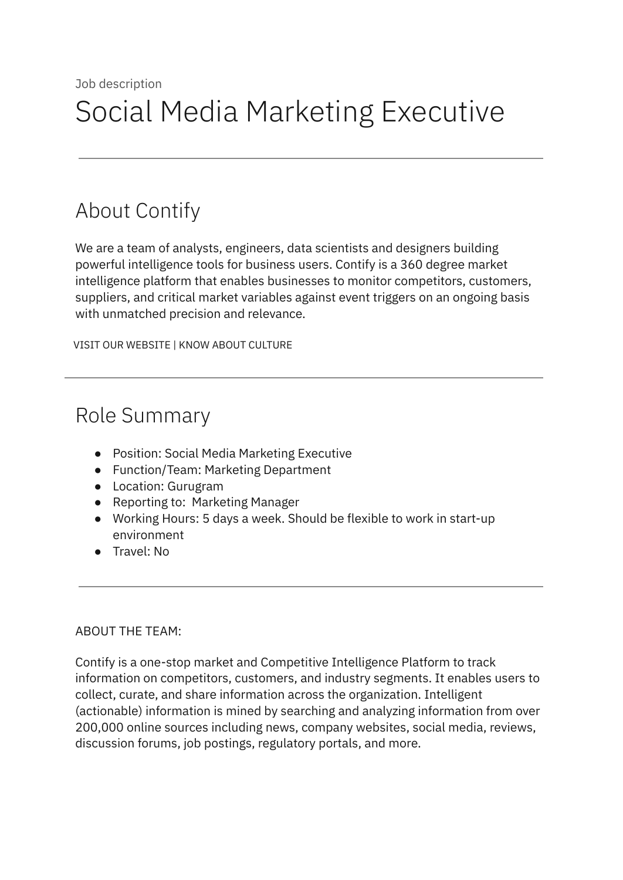# About Contify

We are a team of analysts, engineers, data scientists and designers building powerful intelligence tools for business users. Contify is a 360 degree market intelligence platform that enables businesses to monitor competitors, customers, suppliers, and critical market variables against event triggers on an ongoing basis with unmatched precision and relevance.

VISIT OUR [WEBSITE](http://contify.com/) | KNOW ABOUT [CULTURE](https://app.box.com/s/729fu9kwnix6x7g1ix0u)

## Role Summary

- Position: Social Media Marketing Executive
- Function/Team: Marketing Department
- Location: Gurugram
- Reporting to: Marketing Manager
- Working Hours: 5 days a week. Should be flexible to work in start-up environment
- Travel: No

#### ABOUT THE TEAM:

Contify is a one-stop market and Competitive Intelligence Platform to track information on competitors, customers, and industry segments. It enables users to collect, curate, and share information across the organization. Intelligent (actionable) information is mined by searching and analyzing information from over 200,000 online sources including news, company websites, social media, reviews, discussion forums, job postings, regulatory portals, and more.